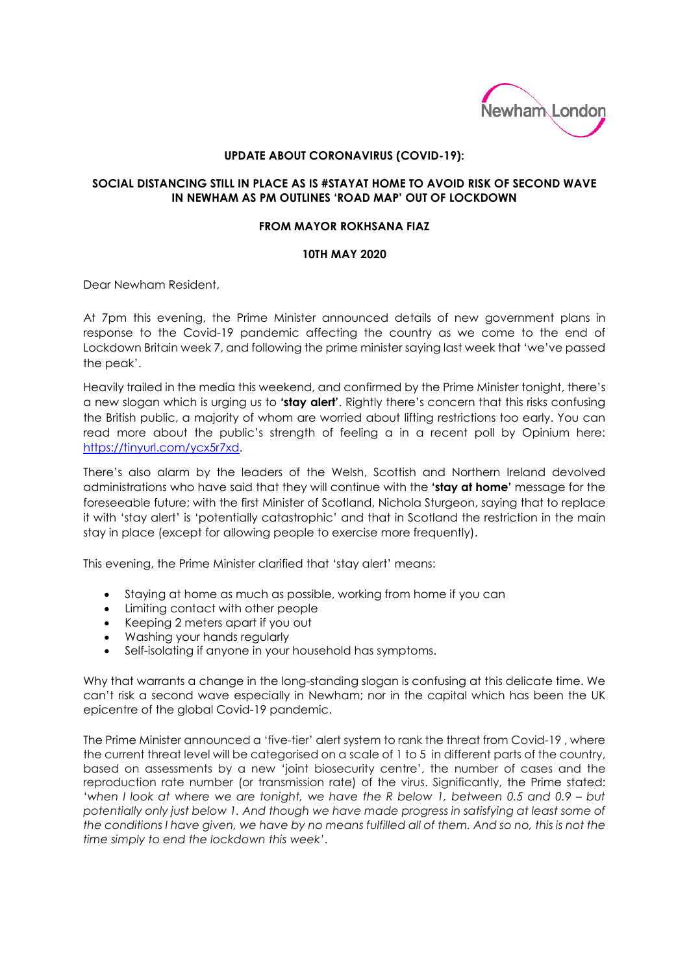

## **UPDATE ABOUT CORONAVIRUS (COVID-19):**

## **SOCIAL DISTANCING STILL IN PLACE AS IS #STAYAT HOME TO AVOID RISK OF SECOND WAVE IN NEWHAM AS PM OUTLINES 'ROAD MAP' OUT OF LOCKDOWN**

## **FROM MAYOR ROKHSANA FIAZ**

## **10TH MAY 2020**

Dear Newham Resident,

At 7pm this evening, the Prime Minister announced details of new government plans in response to the Covid-19 pandemic affecting the country as we come to the end of Lockdown Britain week 7, and following the prime minister saying last week that 'we've passed the peak'.

Heavily trailed in the media this weekend, and confirmed by the Prime Minister tonight, there's a new slogan which is urging us to **'stay alert'**. Rightly there's concern that this risks confusing the British public, a majority of whom are worried about lifting restrictions too early. You can read more about the public's strength of feeling a in a recent poll by Opinium here: [https://tinyurl.com/ycx5r7xd.](https://tinyurl.com/ycx5r7xd)

There's also alarm by the leaders of the Welsh, Scottish and Northern Ireland devolved administrations who have said that they will continue with the **'stay at home'** message for the foreseeable future; with the first Minister of Scotland, Nichola Sturgeon, saying that to replace it with 'stay alert' is 'potentially catastrophic' and that in Scotland the restriction in the main stay in place (except for allowing people to exercise more frequently).

This evening, the Prime Minister clarified that 'stay alert' means:

- Staying at home as much as possible, working from home if you can
- Limiting contact with other people
- Keeping 2 meters apart if you out
- Washing your hands regularly
- Self-isolating if anyone in your household has symptoms.

Why that warrants a change in the long-standing slogan is confusing at this delicate time. We can't risk a second wave especially in Newham; nor in the capital which has been the UK epicentre of the global Covid-19 pandemic.

The Prime Minister announced a 'five-tier' alert system to rank the threat from Covid-19 , where the current threat level will be categorised on a scale of 1 to 5 in different parts of the country, based on assessments by a new 'joint biosecurity centre', the number of cases and the reproduction rate number (or transmission rate) of the virus. Significantly, the Prime stated: '*when I look at where we are tonight, we have the R below 1, between 0.5 and 0.9 – but potentially only just below 1. And though we have made progress in satisfying at least some of the conditions I have given, we have by no means fulfilled all of them. And so no, this is not the time simply to end the lockdown this week'*.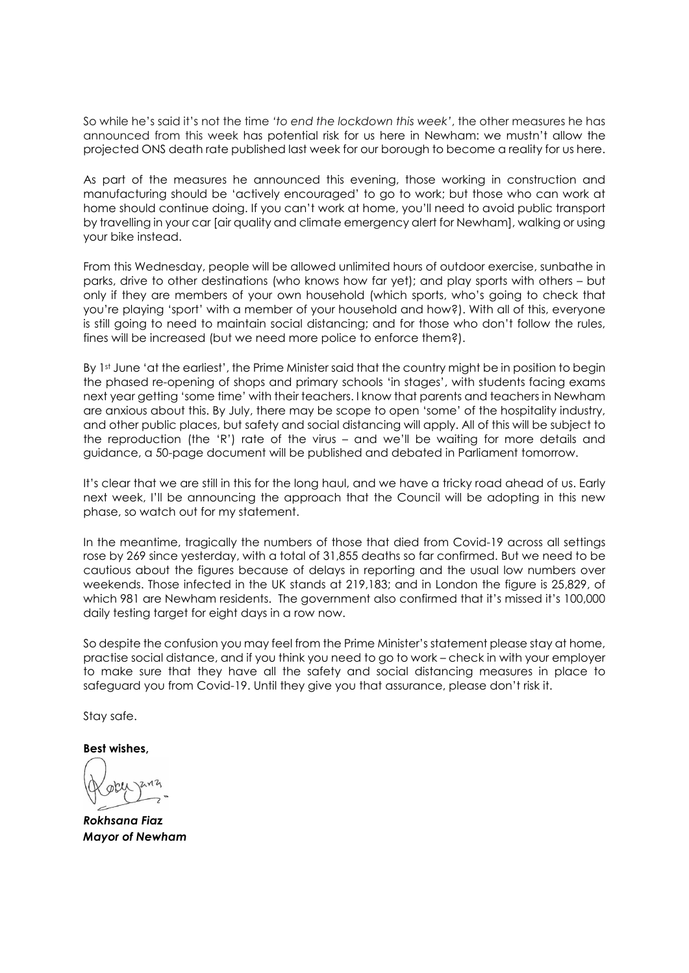So while he's said it's not the time *'to end the lockdown this week'*, the other measures he has announced from this week has potential risk for us here in Newham: we mustn't allow the projected ONS death rate published last week for our borough to become a reality for us here.

As part of the measures he announced this evening, those working in construction and manufacturing should be 'actively encouraged' to go to work; but those who can work at home should continue doing. If you can't work at home, you'll need to avoid public transport by travelling in your car [air quality and climate emergency alert for Newham], walking or using your bike instead.

From this Wednesday, people will be allowed unlimited hours of outdoor exercise, sunbathe in parks, drive to other destinations (who knows how far yet); and play sports with others – but only if they are members of your own household (which sports, who's going to check that you're playing 'sport' with a member of your household and how?). With all of this, everyone is still going to need to maintain social distancing; and for those who don't follow the rules, fines will be increased (but we need more police to enforce them?).

By 1st June 'at the earliest', the Prime Minister said that the country might be in position to begin the phased re-opening of shops and primary schools 'in stages', with students facing exams next year getting 'some time' with their teachers. I know that parents and teachers in Newham are anxious about this. By July, there may be scope to open 'some' of the hospitality industry, and other public places, but safety and social distancing will apply. All of this will be subject to the reproduction (the 'R') rate of the virus – and we'll be waiting for more details and guidance, a 50-page document will be published and debated in Parliament tomorrow.

It's clear that we are still in this for the long haul, and we have a tricky road ahead of us. Early next week, I'll be announcing the approach that the Council will be adopting in this new phase, so watch out for my statement.

In the meantime, tragically the numbers of those that died from Covid-19 across all settings rose by 269 since yesterday, with a total of 31,855 deaths so far confirmed. But we need to be cautious about the figures because of delays in reporting and the usual low numbers over weekends. Those infected in the UK stands at 219,183; and in London the figure is 25,829, of which 981 are Newham residents. The government also confirmed that it's missed it's 100,000 daily testing target for eight days in a row now.

So despite the confusion you may feel from the Prime Minister's statement please stay at home, practise social distance, and if you think you need to go to work – check in with your employer to make sure that they have all the safety and social distancing measures in place to safeguard you from Covid-19. Until they give you that assurance, please don't risk it.

Stay safe.

**Best wishes,** 

*Rokhsana Fiaz Mayor of Newham*